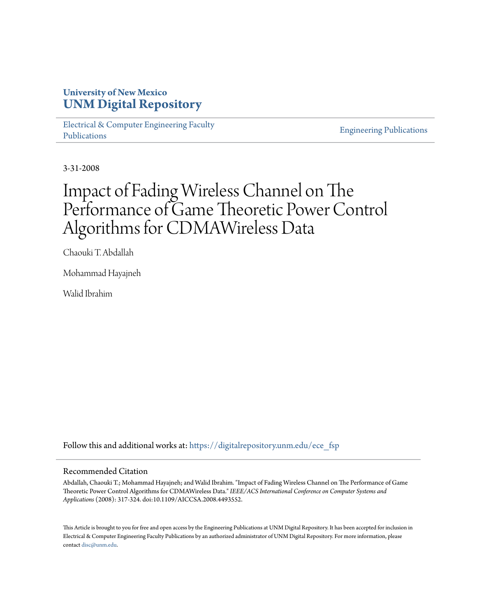# **University of New Mexico [UNM Digital Repository](https://digitalrepository.unm.edu?utm_source=digitalrepository.unm.edu%2Fece_fsp%2F124&utm_medium=PDF&utm_campaign=PDFCoverPages)**

[Electrical & Computer Engineering Faculty](https://digitalrepository.unm.edu/ece_fsp?utm_source=digitalrepository.unm.edu%2Fece_fsp%2F124&utm_medium=PDF&utm_campaign=PDFCoverPages) [Publications](https://digitalrepository.unm.edu/ece_fsp?utm_source=digitalrepository.unm.edu%2Fece_fsp%2F124&utm_medium=PDF&utm_campaign=PDFCoverPages)

[Engineering Publications](https://digitalrepository.unm.edu/eng_fsp?utm_source=digitalrepository.unm.edu%2Fece_fsp%2F124&utm_medium=PDF&utm_campaign=PDFCoverPages)

3-31-2008

# Impact of Fading Wireless Channel on The Performance of Game Theoretic Power Control Algorithms for CDMAWireless Data

Chaouki T. Abdallah

Mohammad Hayajneh

Walid Ibrahim

Follow this and additional works at: [https://digitalrepository.unm.edu/ece\\_fsp](https://digitalrepository.unm.edu/ece_fsp?utm_source=digitalrepository.unm.edu%2Fece_fsp%2F124&utm_medium=PDF&utm_campaign=PDFCoverPages)

# Recommended Citation

Abdallah, Chaouki T.; Mohammad Hayajneh; and Walid Ibrahim. "Impact of Fading Wireless Channel on The Performance of Game Theoretic Power Control Algorithms for CDMAWireless Data." *IEEE/ACS International Conference on Computer Systems and Applications* (2008): 317-324. doi:10.1109/AICCSA.2008.4493552.

This Article is brought to you for free and open access by the Engineering Publications at UNM Digital Repository. It has been accepted for inclusion in Electrical & Computer Engineering Faculty Publications by an authorized administrator of UNM Digital Repository. For more information, please contact [disc@unm.edu.](mailto:disc@unm.edu)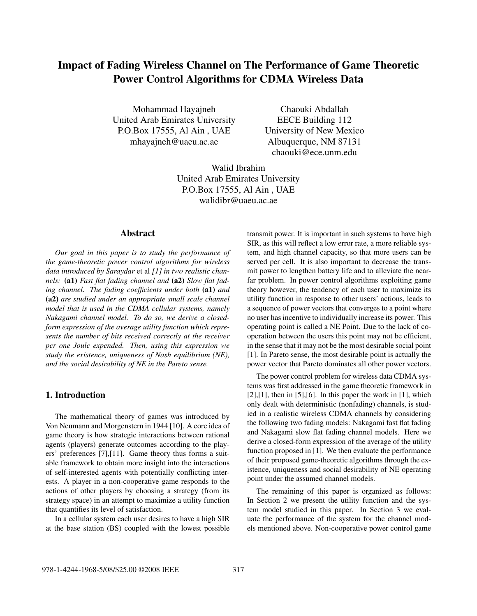# **Impact of Fading Wireless Channel on The Performance of Game Theoretic Power Control Algorithms for CDMA Wireless Data**

Mohammad Hayajneh United Arab Emirates University P.O.Box 17555, Al Ain , UAE mhayajneh@uaeu.ac.ae

Chaouki Abdallah EECE Building 112 University of New Mexico Albuquerque, NM 87131 chaouki@ece.unm.edu

Walid Ibrahim United Arab Emirates University P.O.Box 17555, Al Ain , UAE walidibr@uaeu.ac.ae

# **Abstract**

*Our goal in this paper is to study the performance of the game-theoretic power control algorithms for wireless data introduced by Saraydar* et al *[1] in two realistic channels:* **(a1)** *Fast flat fading channel and* **(a2)** *Slow flat fading channel. The fading coefficients under both* **(a1)** *and* **(a2)** *are studied under an appropriate small scale channel model that is used in the CDMA cellular systems, namely Nakagami channel model. To do so, we derive a closedform expression of the average utility function which represents the number of bits received correctly at the receiver per one Joule expended. Then, using this expression we study the existence, uniqueness of Nash equilibrium (NE), and the social desirability of NE in the Pareto sense.*

# **1. Introduction**

The mathematical theory of games was introduced by Von Neumann and Morgenstern in 1944 [10]. A core idea of game theory is how strategic interactions between rational agents (players) generate outcomes according to the players' preferences [7],[11]. Game theory thus forms a suitable framework to obtain more insight into the interactions of self-interested agents with potentially conflicting interests. A player in a non-cooperative game responds to the actions of other players by choosing a strategy (from its strategy space) in an attempt to maximize a utility function that quantifies its level of satisfaction.

In a cellular system each user desires to have a high SIR at the base station (BS) coupled with the lowest possible

transmit power. It is important in such systems to have high SIR, as this will reflect a low error rate, a more reliable system, and high channel capacity, so that more users can be served per cell. It is also important to decrease the transmit power to lengthen battery life and to alleviate the nearfar problem. In power control algorithms exploiting game theory however, the tendency of each user to maximize its utility function in response to other users' actions, leads to a sequence of power vectors that converges to a point where no user has incentive to individually increase its power. This operating point is called a NE Point. Due to the lack of cooperation between the users this point may not be efficient, in the sense that it may not be the most desirable social point [1]. In Pareto sense, the most desirable point is actually the power vector that Pareto dominates all other power vectors.

The power control problem for wireless data CDMA systems was first addressed in the game theoretic framework in  $[2]$ , $[1]$ , then in  $[5]$ , $[6]$ . In this paper the work in  $[1]$ , which only dealt with deterministic (nonfading) channels, is studied in a realistic wireless CDMA channels by considering the following two fading models: Nakagami fast flat fading and Nakagami slow flat fading channel models. Here we derive a closed-form expression of the average of the utility function proposed in [1]. We then evaluate the performance of their proposed game-theoretic algorithms through the existence, uniqueness and social desirability of NE operating point under the assumed channel models.

The remaining of this paper is organized as follows: In Section 2 we present the utility function and the system model studied in this paper. In Section 3 we evaluate the performance of the system for the channel models mentioned above. Non-cooperative power control game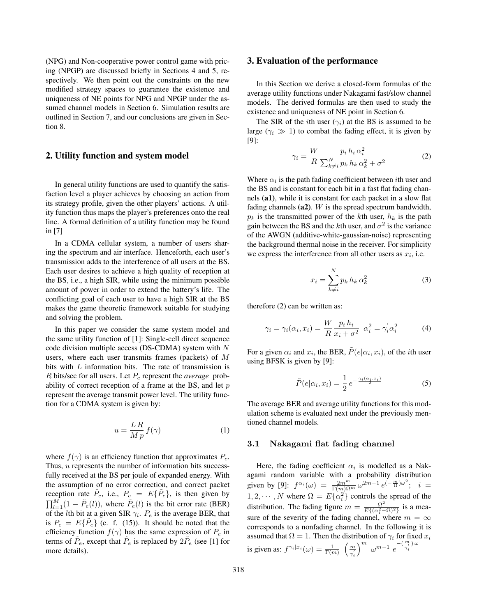(NPG) and Non-cooperative power control game with pricing (NPGP) are discussed briefly in Sections 4 and 5, respectively. We then point out the constraints on the new modified strategy spaces to guarantee the existence and uniqueness of NE points for NPG and NPGP under the assumed channel models in Section 6. Simulation results are outlined in Section 7, and our conclusions are given in Section 8.

## **2. Utility function and system model**

In general utility functions are used to quantify the satisfaction level a player achieves by choosing an action from its strategy profile, given the other players' actions. A utility function thus maps the player's preferences onto the real line. A formal definition of a utility function may be found in [7]

In a CDMA cellular system, a number of users sharing the spectrum and air interface. Henceforth, each user's transmission adds to the interference of all users at the BS. Each user desires to achieve a high quality of reception at the BS, i.e., a high SIR, while using the minimum possible amount of power in order to extend the battery's life. The conflicting goal of each user to have a high SIR at the BS makes the game theoretic framework suitable for studying and solving the problem.

In this paper we consider the same system model and the same utility function of [1]: Single-cell direct sequence code division multiple access (DS-CDMA) system with N users, where each user transmits frames (packets) of M bits with L information bits. The rate of transmission is  $R$  bits/sec for all users. Let  $P_c$  represent the *average* probability of correct reception of a frame at the BS, and let  $p$ represent the average transmit power level. The utility function for a CDMA system is given by:

$$
u = \frac{LR}{Mp} f(\gamma) \tag{1}
$$

where  $f(\gamma)$  is an efficiency function that approximates  $P_c$ . Thus, u represents the number of information bits successfully received at the BS per joule of expanded energy. With the assumption of no error correction, and correct packet reception rate  $\tilde{P}_c$ , i.e.,  $P_c = E\{\tilde{P}_c\}$ , is then given by  $\prod_{l=1}^{M} (1 - \tilde{P}_e(l))$ , where  $\tilde{P}_e(l)$  is the bit error rate (BER) of the *l*th bit at a given SIR  $\gamma_i$ .  $P_e$  is the average BER, that is  $P_e = E\{P_e\}$  (c. f. (15)). It should be noted that the efficiency function  $f(\gamma)$  has the same expression of  $P_c$  in terms of  $\tilde{P}_e$ , except that  $\tilde{P}_e$  is replaced by  $2\tilde{P}_e$  (see [1] for more details).

#### **3. Evaluation of the performance**

In this Section we derive a closed-form formulas of the average utility functions under Nakagami fast/slow channel models. The derived formulas are then used to study the existence and uniqueness of NE point in Section 6.

The SIR of the *i*th user  $(\gamma_i)$  at the BS is assumed to be large ( $\gamma_i \gg 1$ ) to combat the fading effect, it is given by [9]:

$$
\gamma_i = \frac{W}{R} \frac{p_i h_i \alpha_i^2}{\sum_{k \neq i}^N p_k h_k \alpha_k^2 + \sigma^2}
$$
 (2)

Where  $\alpha_i$  is the path fading coefficient between *i*th user and the BS and is constant for each bit in a fast flat fading channels **(a1)**, while it is constant for each packet in a slow flat fading channels **(a2)**. W is the spread spectrum bandwidth,  $p_k$  is the transmitted power of the kth user,  $h_k$  is the path gain between the BS and the kth user, and  $\sigma^2$  is the variance of the AWGN (additive-white-gaussian-noise) representing the background thermal noise in the receiver. For simplicity we express the interference from all other users as  $x_i$ , i.e.

$$
x_i = \sum_{k \neq i}^{N} p_k h_k \alpha_k^2 \tag{3}
$$

therefore (2) can be written as:

$$
\gamma_i = \gamma_i(\alpha_i, x_i) = \frac{W}{R} \frac{p_i h_i}{x_i + \sigma^2} \ \alpha_i^2 = \gamma_i' \alpha_i^2 \tag{4}
$$

For a given  $\alpha_i$  and  $x_i$ , the BER,  $\tilde{P}(e|\alpha_i, x_i)$ , of the *i*th user using BFSK is given by [9]:

$$
\tilde{P}(e|\alpha_i, x_i) = \frac{1}{2} e^{-\frac{\gamma_i(\alpha_i, x_i)}{2}} \tag{5}
$$

The average BER and average utility functions for this modulation scheme is evaluated next under the previously mentioned channel models.

# **3.1 Nakagami flat fading channel**

Here, the fading coefficient  $\alpha_i$  is modelled as a Nakagami random variable with a probability distribution given by [9]:  $f^{\alpha_i}(\omega) = \frac{2m^m}{\Gamma(m)\Omega^m} \omega^{2m-1} e^{-\frac{m}{\Omega} \omega^2}; i =$  $1, 2, \dots, N$  where  $\Omega = E\{\alpha_i^2\}$  controls the spread of the distribution. The fading figure  $m = \frac{\Omega^2}{E\{(\alpha_i^2 - \Omega)^2\}}$  is a measure of the severity of the fading channel, where  $m = \infty$ corresponds to a nonfading channel. In the following it is assumed that  $\Omega = 1$ . Then the distribution of  $\gamma_i$  for fixed  $x_i$ is given as:  $f^{\gamma_i|x_i}(\omega) = \frac{1}{\Gamma(m)} \left( \frac{m}{\gamma'_i} \right)$  $\int_{0}^{m} \omega^{m-1} e^{-\left(\frac{m}{\gamma_i}\right)\omega}$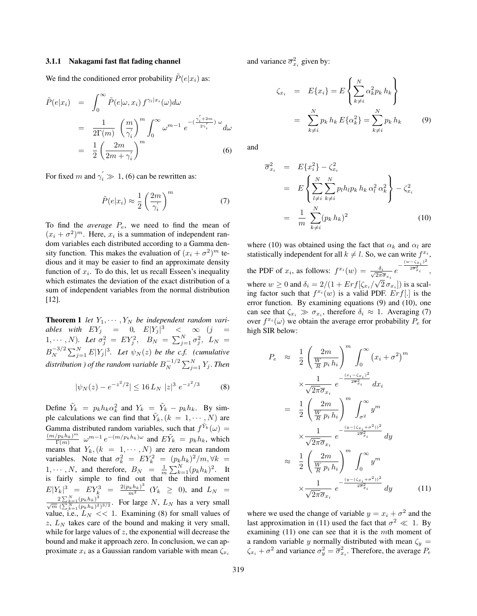#### **3.1.1 Nakagami fast flat fading channel**

We find the conditioned error probability  $\tilde{P}(e|x_i)$  as:

$$
\tilde{P}(e|x_i) = \int_0^\infty \tilde{P}(e|\omega, x_i) f^{\gamma_i|x_i}(\omega) d\omega
$$
  
\n
$$
= \frac{1}{2\Gamma(m)} \left(\frac{m}{\gamma_i'}\right)^m \int_0^\infty \omega^{m-1} e^{-\left(\frac{\gamma_i'+2m}{2\gamma_i'}\right) \omega} d\omega
$$
  
\n
$$
= \frac{1}{2} \left(\frac{2m}{2m + \gamma_i'}\right)^m
$$
(6)

For fixed m and  $\gamma'_i \gg 1$ , (6) can be rewritten as:

$$
\tilde{P}(e|x_i) \approx \frac{1}{2} \left(\frac{2m}{\gamma_i'}\right)^m \tag{7}
$$

To find the *average*  $P_e$ , we need to find the mean of  $(x_i + \sigma^2)^m$ . Here,  $x_i$  is a summation of independent random variables each distributed according to a Gamma density function. This makes the evaluation of  $(x_i + \sigma^2)^m$  tedious and it may be easier to find an approximate density function of  $x_i$ . To do this, let us recall Esseen's inequality which estimates the deviation of the exact distribution of a sum of independent variables from the normal distribution [12].

**Theorem 1** *let*  $Y_1, \cdots, Y_N$  *be independent random variables with*  $EY_j = 0$ ,  $E|Y_j|^3 < \infty$  (j =  $(1, \cdots, N)$ *. Let*  $\sigma_j^2 = EY_j^2$ *,*  $B_N = \sum_{j=1}^N \sigma_j^2$ *,*  $L_N =$  $B_N^{-3/2} \sum_{j=1}^N E|Y_j|^3$ . Let  $\psi_N(z)$  be the c.f. (cumulative distribution ) of the random variable  $B_N^{-1/2} \sum_{j=1}^N Y_j.$  Then

$$
|\psi_N(z) - e^{-z^2/2}| \le 16 L_N \; |z|^3 \; e^{-z^2/3} \tag{8}
$$

Define  $\tilde{Y}_k = p_k h_k \alpha_k^2$  and  $Y_k = \tilde{Y}_k - p_k h_k$ . By simple calculations we can find that  $\tilde{Y}_k$ ,  $(k = 1, \dots, N)$  are Gamma distributed random variables, such that  $f^{\overline{Y}_k}(\omega) =$  $\frac{(m/p_k h_k)^m}{\Gamma(m)} \omega^{m-1} e^{-(m/p_k h_k)\omega}$  and  $E\tilde{Y}_k = p_k h_k$ , which means that  $Y_k$ ,  $(k = 1, \dots, N)$  are zero mean random variables. Note that  $\sigma_k^2 = EY_k^2 = (p_k h_k)^2/m, \forall k =$  $1, \dots, N$ , and therefore,  $B_N = \frac{1}{m} \sum_{k=1}^N (p_k h_k)^2$ . It is fairly simple to find out that the third moment  $E|Y_k|^3 = EY_k^3 = \frac{2(p_k h_k)^3}{m^2}$  ( $Y_k \ge 0$ ), and  $L_N = \frac{2\sum_{k=1}^{N}(p_k h_k)^3}{\sqrt{m} (\sum_{k=1}^{N}(p_k h_k)^2)^{3/2}}$ . For large N,  $L_N$  has a very small value, i.e.,  $L_N \ll 1$ . Examining (8) for small values of z,  $L<sub>N</sub>$  takes care of the bound and making it very small, while for large values of  $z$ , the exponential will decrease the bound and make it approach zero. In conclusion, we can approximate  $x_i$  as a Gaussian random variable with mean  $\zeta_{x_i}$ 

and variance  $\overline{\sigma}_{x_i}^2$  given by:

$$
\zeta_{x_i} = E\{x_i\} = E\left\{\sum_{k\neq i}^N \alpha_k^2 p_k h_k\right\}
$$

$$
= \sum_{k\neq i}^N p_k h_k E\{\alpha_k^2\} = \sum_{k\neq i}^N p_k h_k \qquad (9)
$$

and

$$
\overline{\sigma}_{x_i}^2 = E\{x_i^2\} - \zeta_{x_i}^2
$$
  
\n
$$
= E\left\{\sum_{l \neq i}^N \sum_{k \neq i}^N p_l h_l p_k h_k \alpha_l^2 \alpha_k^2\right\} - \zeta_{x_i}^2
$$
  
\n
$$
= \frac{1}{m} \sum_{k \neq i}^N (p_k h_k)^2
$$
(10)

where (10) was obtained using the fact that  $\alpha_k$  and  $\alpha_l$  are statistically independent for all  $k \neq l$ . So, we can write  $f^{x_i}$ , the PDF of  $x_i$ , as follows:  $f^{x_i}(w) = \frac{\delta_i}{\sqrt{2\pi i}}$  $\frac{\delta_i}{2\pi\overline{\sigma}_{x_i}}e$  $-\frac{(w-\zeta_{x_i})^2}{2\overline{\sigma}^2_{x_i}},$ where  $w \ge 0$  and  $\delta_i = 2/(1 + Erf[\zeta_{xi}/\sqrt{2} \sigma_{xi}])$  is a scaling factor such that  $f^{x_i}(w)$  is a valid PDF. Erf. is the error function. By examining equations (9) and (10), one can see that  $\zeta_{x_i} \gg \sigma_{x_i}$ , therefore  $\delta_i \approx 1$ . Averaging (7) over  $f^{x_i}(\omega)$  we obtain the average error probability  $P_e$  for high SIR below:

$$
P_e \approx \frac{1}{2} \left(\frac{2m}{\frac{W}{R} p_i h_i}\right)^m \int_0^\infty (x_i + \sigma^2)^m
$$
  

$$
\times \frac{1}{\sqrt{2\pi}\overline{\sigma}_{x_i}} e^{-\frac{(x_i - \zeta_{x_i})^2}{2\overline{\sigma}_{x_i}^2}} dx_i
$$
  

$$
= \frac{1}{2} \left(\frac{2m}{\frac{W}{R} p_i h_i}\right)^m \int_{\sigma^2}^\infty y^m
$$
  

$$
\times \frac{1}{\sqrt{2\pi}\overline{\sigma}_{x_i}} e^{-\frac{(y - (\zeta_{x_i} + \sigma^2))^2}{2\overline{\sigma}_{x_i}^2}} dy
$$
  

$$
\approx \frac{1}{2} \left(\frac{2m}{\frac{W}{R} p_i h_i}\right)^m \int_0^\infty y^m
$$
  

$$
\times \frac{1}{\sqrt{2\pi}\overline{\sigma}_{x_i}} e^{-\frac{(y - (\zeta_{x_i} + \sigma^2))^2}{2\overline{\sigma}_{x_i}^2}} dy
$$
(11)

where we used the change of variable  $y = x_i + \sigma^2$  and the last approximation in (11) used the fact that  $\sigma^2 \ll 1$ . By examining  $(11)$  one can see that it is the mth moment of a random variable y normally distributed with mean  $\zeta_y$  =  $\zeta_{x_i} + \sigma^2$  and variance  $\sigma_y^2 = \overline{\sigma}_{x_i}^2$ . Therefore, the average  $P_e$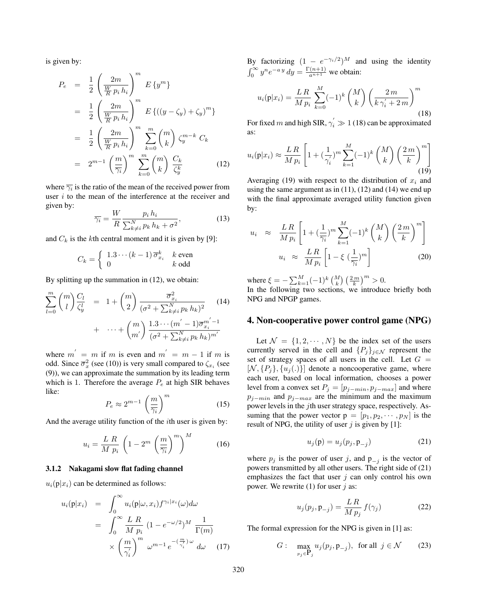is given by:

$$
P_e = \frac{1}{2} \left(\frac{2m}{\frac{W}{R} p_i h_i}\right)^m E\{y^m\}
$$
  
\n
$$
= \frac{1}{2} \left(\frac{2m}{\frac{W}{R} p_i h_i}\right)^m E\{((y - \zeta_y) + \zeta_y)^m\}
$$
  
\n
$$
= \frac{1}{2} \left(\frac{2m}{\frac{W}{R} p_i h_i}\right)^m \sum_{k=0}^m {m \choose k} \zeta_y^{m-k} C_k
$$
  
\n
$$
= 2^{m-1} \left(\frac{m}{\overline{\gamma_i}}\right)^m \sum_{k=0}^m {m \choose k} \frac{C_k}{\zeta_y^k}
$$
(12)

where  $\overline{\gamma_i}$  is the ratio of the mean of the received power from user  $i$  to the mean of the interference at the receiver and given by:

$$
\overline{\gamma_i} = \frac{W}{R} \frac{p_i h_i}{\sum_{k \neq i}^N p_k h_k + \sigma^2},\tag{13}
$$

and  $C_k$  is the kth central moment and it is given by [9]:

$$
C_k = \begin{cases} 1.3 \cdots (k-1) \, \overline{\sigma}_{x_i}^k & \text{even} \\ 0 & \text{6 odd} \end{cases}
$$

By splitting up the summation in (12), we obtain:

$$
\sum_{l=0}^{m} {m \choose l} \frac{C_l}{\zeta_y^l} = 1 + {m \choose 2} \frac{\overline{\sigma}_{x_i}^2}{(\sigma^2 + \sum_{k \neq i}^N p_k h_k)^2} \qquad (14)
$$
  
+ ... +  ${m \choose m'} \frac{1 \cdot 3 \cdots (m'-1) \overline{\sigma}_{x_i}^{m'-1}}{(\sigma^2 + \sum_{k \neq i}^N p_k h_k)^{m'}}$ 

where  $m' = m$  if m is even and  $m' = m - 1$  if m is odd. Since  $\overline{\sigma}_x^2$  (see (10)) is very small compared to  $\zeta_{x_i}$  (see (9)), we can approximate the summation by its leading term which is 1. Therefore the average  $P_e$  at high SIR behaves like:

$$
P_e \approx 2^{m-1} \left(\frac{m}{\overline{\gamma_i}}\right)^m \tag{15}
$$

And the average utility function of the  $i$ th user is given by:

$$
u_i = \frac{L \ R}{M \ p_i} \left( 1 - 2^m \left( \frac{m}{\overline{\gamma_i}} \right)^m \right)^M \tag{16}
$$

#### **3.1.2 Nakagami slow flat fading channel**

 $u_i(p|x_i)$  can be determined as follows:

$$
u_i(\mathbf{p}|x_i) = \int_0^\infty u_i(\mathbf{p}|\omega, x_i) f^{\gamma_i|x_i}(\omega) d\omega
$$
  
= 
$$
\int_0^\infty \frac{L \, R}{M \, p_i} (1 - e^{-\omega/2})^M \frac{1}{\Gamma(m)}
$$
  
\$\times \left(\frac{m}{\gamma\_i}\right)^m \omega^{m-1} e^{-\left(\frac{m}{\gamma\_i}\right)\omega} d\omega \quad (17)\$

By factorizing  $(1 - e^{-\gamma_i/2})^M$  and using the identity  $\int_0^\infty y^n e^{-ay} dy = \frac{\Gamma(n+1)}{a^{n+1}}$  we obtain:

$$
u_i(\mathbf{p}|x_i) = \frac{LR}{M p_i} \sum_{k=0}^{M} (-1)^k {M \choose k} \left(\frac{2m}{k \gamma_i' + 2m}\right)^m
$$
\n(18)

For fixed m and high SIR,  $\gamma_i' \gg 1$  (18) can be approximated as:

$$
u_i(\mathbf{p}|x_i) \approx \frac{LR}{M p_i} \left[ 1 + \left(\frac{1}{\gamma_i'}\right)^m \sum_{k=1}^M (-1)^k \binom{M}{k} \left(\frac{2m}{k}\right)^m \right] \tag{19}
$$

Averaging (19) with respect to the distribution of  $x_i$  and using the same argument as in  $(11)$ ,  $(12)$  and  $(14)$  we end up with the final approximate averaged utility function given by:

$$
u_i \approx \frac{LR}{Mp_i} \left[ 1 + \left(\frac{1}{\overline{\gamma_i}}\right)^m \sum_{k=1}^M (-1)^k {M \choose k} \left(\frac{2m}{k}\right)^m \right]
$$
  

$$
u_i \approx \frac{LR}{Mp_i} \left[ 1 - \xi \left(\frac{1}{\overline{\gamma_i}}\right)^m \right]
$$
 (20)

where  $\xi = -\sum_{k=1}^{M} (-1)^k {M \choose k} \left(\frac{2m}{k}\right)^m > 0$ . In the following two sections, we introduce briefly both NPG and NPGP games.

#### **4. Non-cooperative power control game (NPG)**

Let  $\mathcal{N} = \{1, 2, \cdots, N\}$  be the index set of the users currently served in the cell and  $\{P_j\}_{j\in\mathcal{N}}$  represent the set of strategy spaces of all users in the cell. Let  $G =$  $[N, {P<sub>i</sub>}, {u<sub>i</sub>(.)}]$  denote a noncooperative game, where each user, based on local information, chooses a power level from a convex set  $P_j = [p_{j-min}, p_{j-max}]$  and where  $p_{j-min}$  and  $p_{j-max}$  are the minimum and the maximum power levels in the jth user strategy space, respectively. Assuming that the power vector  $p = [p_1, p_2, \cdots, p_N]$  is the result of NPG, the utility of user  $i$  is given by [1]:

$$
u_j(\mathbf{p}) = u_j(p_j, \mathbf{p}_{-j})
$$
\n(21)

where  $p_j$  is the power of user j, and  $p_{-j}$  is the vector of powers transmitted by all other users. The right side of (21) emphasizes the fact that user  $j$  can only control his own power. We rewrite  $(1)$  for user j as:

$$
u_j(p_j, \mathbf{p}_{-j}) = \frac{LR}{M p_j} f(\gamma_j)
$$
 (22)

The formal expression for the NPG is given in [1] as:

$$
G: \max_{p_j \in \mathbf{P}_j} u_j(p_j, \mathbf{p}_{-j}), \text{ for all } j \in \mathcal{N} \qquad (23)
$$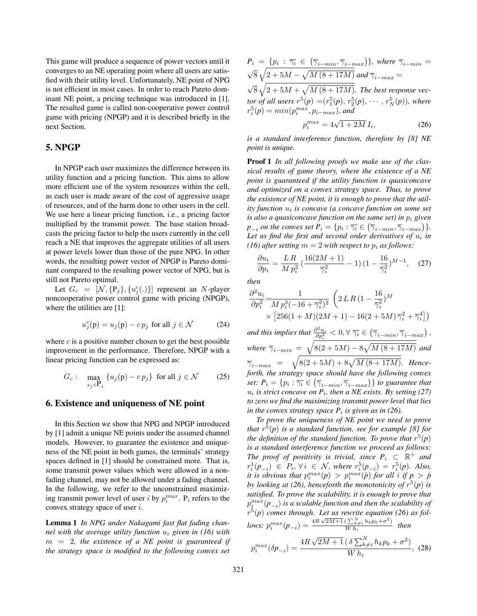This game will produce a sequence of power vectors until it converges to an NE operating point where all users are satisfied with their utility level. Unfortunately, NE point of NPG is not efficient in most cases. In order to reach Pareto dominant NE point, a pricing technique was introduced in [1]. The resulted game is called non-cooperative power control game with pricing (NPGP) and it is described briefly in the next Section.

# **5. NPGP**

In NPGP each user maximizes the difference between its utility function and a pricing function. This aims to allow more efficient use of the system resources within the cell, as each user is made aware of the cost of aggressive usage of resources, and of the harm done to other users in the cell. We use here a linear pricing function, i.e., a pricing factor multiplied by the transmit power. The base station broadcasts the pricing factor to help the users currently in the cell reach a NE that improves the aggregate utilities of all users at power levels lower than those of the pure NPG. In other words, the resulting power vector of NPGP is Pareto dominant compared to the resulting power vector of NPG, but is still not Pareto optimal.

Let  $G_c = [\mathcal{N}, \{P_j\}, \{u_j^c(.)\}]$  represent an N-player noncooperative power control game with pricing (NPGP), where the utilities are [1]:

$$
u_j^c(\mathbf{p}) = u_j(\mathbf{p}) - c p_j \text{ for all } j \in \mathcal{N} \tag{24}
$$

where  $c$  is a positive number chosen to get the best possible improvement in the performance. Therefore, NPGP with a linear pricing function can be expressed as:

$$
G_c: \max_{p_j \in \mathbf{P}_j} \{ u_j(\mathbf{p}) - c p_j \} \text{ for all } j \in \mathcal{N} \qquad (25)
$$

#### **6. Existence and uniqueness of NE point**

In this Section we show that NPG and NPGP introduced by [1] admit a unique NE points under the assumed channel models. However, to guarantee the existence and uniqueness of the NE point in both games, the terminals' strategy spaces defined in [1] should be constrained more. That is, some transmit power values which were allowed in a nonfading channel, may not be allowed under a fading channel. In the following, we refer to the unconstrained maximizing transmit power level of user *i* by  $p_i^{max}$ .  $P_i$  refers to the convex strategy space of user i.

**Lemma 1** *In NPG under Nakagami fast flat fading channel with the average utility function*  $u_i$  *given in (16) with* m = 2*, the existence of a NE point is guaranteed if the strategy space is modified to the following convex set*

$$
P_i = \{p_i : \overline{\gamma_i} \in (\overline{\gamma}_{i-min}, \overline{\gamma}_{i-max})\}, \text{ where } \overline{\gamma}_{i-min} = \sqrt{8} \sqrt{2 + 5M - \sqrt{M(8 + 17M)}} \text{ and } \overline{\gamma}_{i-max} = \boxed{\gamma_{i-max}}
$$

 $\sqrt{8\sqrt{2+5M+\sqrt{M(8+17M)}}}$ . The best response vec*tor of all users*  $r^5(p) = (r_1^5(p), r_2^5(p), \cdots, r_N^5(p))$ , where  $r_i^5(p) = min(p_i^{max}, p_{i-max})$ , and

$$
p_i^{max} = 4\sqrt{1 + 2M} I_i,
$$
 (26)

*is a standard interference function, therefore by [8] NE point is unique.*

**Proof 1** *In all following proofs we make use of the classical results of game theory, where the existence of a NE point is guaranteed if the utility function is quasiconcave and optimized on a convex strategy space. Thus, to prove the existence of NE point, it is enough to prove that the utility function* u<sup>i</sup> *is concave (a concave function on some set is also a quasiconcave function on the same set) in*  $p_i$  *given*  $p_{-i}$  *on the convex set*  $P_i = \{p_i : \overline{\gamma_i} \in (\overline{\gamma}_{i-min}, \overline{\gamma}_{i-max})\}.$ Let us find the first and second order derivatives of  $u_i$  in *(16) after setting*  $m = 2$  *with respect to*  $p_i$  *as follows:* 

$$
\frac{\partial u_i}{\partial p_i} = \frac{LR}{Mp_i^2} \left( \frac{16(2M+1)}{\overline{\gamma}_i^2} - 1 \right) \left( 1 - \frac{16}{\overline{\gamma}_i^2} \right)^{M-1}, \quad (27)
$$

*then*

$$
\frac{\partial^2 u_i}{\partial p_i^2} = \frac{1}{M p_i^3 (-16 + \overline{\gamma}_i^2)^2} \left( 2 L R \left( 1 - \frac{16}{\overline{\gamma}_i^2} \right)^M \times \left[ 256(1 + M)(2M + 1) - 16(2 + 5M) \overline{\gamma}_i^2 + \overline{\gamma}_i^4 \right] \right)
$$

and this implies that  $\frac{\partial^2 u_i}{\partial p_i^2} < 0, \forall \ \overline{\gamma_i} \in (\overline{\gamma}_{i-min}, \overline{\gamma}_{i-max})$ , *where*  $\bar{\gamma}_{i-min} = \sqrt{8(2+5M) - 8\sqrt{M(8+17M)}}$  *and*  $\overline{\gamma}_{i-max} = \sqrt{8(2+5M)+8\sqrt{M(8+17M)}}$ *. Henceforth, the strategy space should have the following convex set:*  $P_i = \{p_i : \overline{\gamma_i} \in \left(\overline{\gamma}_{i-min}, \overline{\gamma}_{i-max}\right)\}$  *to guarantee that*  $u_i$  *is strict concave on*  $P_i$ *, then a NE exists. By setting (27) to zero we find the maximizing transmit power level that lies in the convex strategy space*  $P_i$  *is given as in (26).* 

*To prove the uniqueness of NE point we need to prove that*  $r^5(p)$  *is a standard function, see for example* [8] *for the definition of the standard function. To prove that*  $r^5(p)$ *is a standard interference function we proceed as follows: The proof of positivity is trivial, since*  $P_i \subset \mathbb{R}^+$  *and*  $r_i^1(p_{-i})$  ∈  $P_i$ ,  $\forall i$  ∈  $\mathcal{N}$ , where  $r_i^5(p_{-i}) = r_i^5(p)$ . Also, *it is obvious that*  $p_i^{max}(p) > p_i^{max}(\hat{p})$  *for all i if*  $p > \hat{p}$ *by looking at (26), henceforth the monotonicity of*  $r^5(p)$  *is satisfied. To prove the scalability, it is enough to prove that*  $p_i^{max}(p_{-i})$  is a scalable function and then the scalability of r<sup>5</sup>(*p*) *comes through. Let us rewrite equation (26) as follows:*  $p_i^{max}(p_{-i}) = \frac{4R\sqrt{2M+1}(\sum_{k \neq i}^{N} h_k p_k + \sigma^2)}{W h_i}$  *then* 

$$
p_i^{max}(\delta p_{-i}) = \frac{4R\sqrt{2M+1} \left(\delta \sum_{k \neq i}^N h_k p_k + \sigma^2\right)}{W h_i}, \tag{28}
$$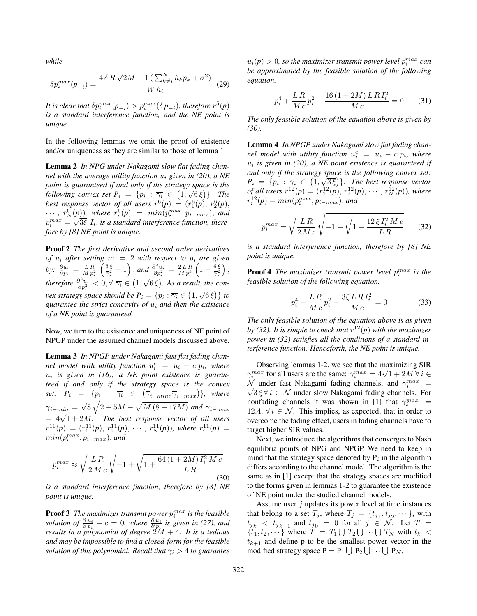*while*

$$
\delta p_i^{max}(p_{-i}) = \frac{4 \delta R \sqrt{2M+1} \left(\sum_{k \neq i}^N h_k p_k + \sigma^2\right)}{W h_i} \tag{29}
$$

It is clear that  $\delta p_i^{max}(p_{-i}) > p_i^{max}(\delta p_{-i})$ , therefore  $r^5(p)$ *is a standard interference function, and the NE point is unique.*

In the following lemmas we omit the proof of existence and/or uniqueness as they are similar to those of lemma 1.

**Lemma 2** *In NPG under Nakagami slow flat fading channel with the average utility function* u<sup>i</sup> *given in (20), a NE point is guaranteed if and only if the strategy space is the following convex set*  $P_i = \{p_i : \overline{\gamma_i} \in (1, \sqrt{6\xi})\}$ . The *best response vector of all users*  $r^6(p) = (r_1^6(p), r_2^6(p),$  $\cdots$ ,  $r_N^6(p)$ ), where  $r_i^6(p) = min(p_i^{max}, p_{i-max})$ , and  $p_i^{max} = \sqrt{3\xi} I_i$ , *is a standard interference function, therefore by [8] NE point is unique.*

**Proof 2** *The first derivative and second order derivatives of*  $u_i$  *after setting*  $m = 2$  *with respect to*  $p_i$  *are given* by:  $\frac{\partial u_i}{\partial p_i} = \frac{LR}{Mp_i^2}$  $\left(\frac{3\xi}{\overline{\gamma}_i^2}-1\right)$ , and  $\frac{\partial^2 u_i}{\partial p_i^2}=\frac{2LR}{Mp_i^3}$  $\left(1-\frac{6\xi}{\overline{\gamma}_i^2}\right)$  $),$ *therefore*  $\frac{\partial^2 u_i}{\partial p_i^2} < 0, \forall \overline{\gamma_i} \in (1, \sqrt{6\xi})$ . As a result, the con*vex strategy space should be*  $P_i = \{p_i : \overline{\gamma_i} \in (1, \sqrt{6\xi})\}$  *to guarantee the strict concavity of* u<sup>i</sup> *and then the existence of a NE point is guaranteed.*

Now, we turn to the existence and uniqueness of NE point of NPGP under the assumed channel models discussed above.

**Lemma 3** *In NPGP under Nakagami fast flat fading channel model with utility function*  $u_i^c = u_i - c p_i$ *, where* u<sup>i</sup> *is given in (16), a NE point existence is guaranteed if and only if the strategy space is the convex* set:  $P_i$  =  $\{p_i$  :  $\overline{\gamma_i}$  ∈  $(\overline{\gamma}_{i-min}, \overline{\gamma}_{i-max})\}$ , where  $\overline{\gamma}_{i-min} = \sqrt{8} \sqrt{2+5M-\sqrt{M(8+17M)}}$  *and*  $\overline{\gamma}_{i-max}$  $= 4\sqrt{1+2M}$ . The best response vector of all users  $r^{11}(p) = (r_1^{11}(p), r_2^{11}(p), \cdots, r_N^{11}(p)),$  where  $r_i^{11}(p) =$  $min(p_i^{max}, p_{i-max}),$  and

$$
p_i^{max} \approx \sqrt{\frac{LR}{2\,Mc}} \sqrt{-1 + \sqrt{1 + \frac{64\,(1 + 2M)\,I_i^2\,Mc}{LR}}}
$$
(30)

*is a standard interference function, therefore by [8] NE point is unique.*

**Proof 3** The maximizer transmit power  $p_i^{max}$  is the feasible *solution of*  $\frac{\partial u_i}{\partial p_i} - c = 0$ , where  $\frac{\partial u_i}{\partial p_i}$  *is given in (27), and results in a polynomial of degree* 2M + 4*. It is a tedious and may be impossible to find a closed-form for the feasible solution of this polynomial. Recall that*  $\overline{\gamma_i} > 4$  *to guarantee* 

 $u_i(p) > 0$ , so the maximizer transmit power level  $p_i^{max}$  can *be approximated by the feasible solution of the following equation.*

$$
p_i^4 + \frac{LR}{Mc}p_i^2 - \frac{16(1+2M)LRT_i^2}{Mc} = 0
$$
 (31)

*The only feasible solution of the equation above is given by (30).*

**Lemma 4** *In NPGP under Nakagami slow flat fading channel model with utility function*  $u_i^c = u_i - c p_i$ *, where*  $u_i$  *is given in (20), a NE point existence is guaranteed if and only if the strategy space is the following convex set:*  $P_i = \{p_i : \overline{\gamma_i} \in (1, \sqrt{3\xi})\}$ . The best response vector *of all users*  $r^{12}(p) = (r_1^{12}(p), r_2^{12}(p), \cdots, r_N^{12}(p))$ , where  $r_i^{12}(p) = min(p_i^{max}, p_{i-max})$ , and

$$
p_i^{max} = \sqrt{\frac{LR}{2\,M\,c}}\,\sqrt{-1 + \sqrt{1 + \frac{12\,\xi\,I_i^2\,M\,c}{LR}}}\qquad(32)
$$

*is a standard interference function, therefore by [8] NE point is unique.*

**Proof 4** *The maximizer transmit power level*  $p_i^{max}$  *is the feasible solution of the following equation.*

$$
p_i^4 + \frac{LR}{Mc}p_i^2 - \frac{3\xi LRI_i^2}{Mc} = 0
$$
 (33)

*The only feasible solution of the equation above is as given by (32). It is simple to check that*  $r^{12}(p)$  *with the maximizer power in (32) satisfies all the conditions of a standard interference function. Henceforth, the NE point is unique.*

Observing lemmas 1-2, we see that the maximizing SIR Observing lemmas 1-2, we see that the maximizing SIR<br>  $\gamma_i^{max}$  for all users are the same:  $\gamma_i^{max} = 4\sqrt{1 + 2M}$   $\forall i \in$ N under fast Nakagami fading channels, and  $\gamma_i^{max}$  =  $\sqrt{3\xi}$   $\forall i \in \mathcal{N}$  under slow Nakagami fading channels. For nonfading channels it was shown in [1] that  $\gamma_i^{max}$  = 12.4,  $\forall i \in \mathcal{N}$ . This implies, as expected, that in order to overcome the fading effect, users in fading channels have to target higher SIR values.

Next, we introduce the algorithms that converges to Nash equilibria points of NPG and NPGP. We need to keep in mind that the strategy space denoted by  $P_i$  in the algorithm differs according to the channel model. The algorithm is the same as in [1] except that the strategy spaces are modified to the forms given in lemmas 1-2 to guarantee the existence of NE point under the studied channel models.

Assume user  $j$  updates its power level at time instances that belong to a set  $T_j$ , where  $T_j = \{t_{j_1}, t_{j_2}, \dots\}$ , with  $t_{j_k}$   $\langle t_{j_{k+1}}$  and  $t_{j_0} = 0$  for all  $j \in \mathcal{N}$ . Let  $T =$  $\{t_1, t_2, \dots\}$  where  $T = T_1 \bigcup T_2 \bigcup \dots \bigcup T_N$  with  $t_k$  <  $t_{k+1}$  and define p to be the smallest power vector in the modified strategy space  $P = P_1 \bigcup P_2 \bigcup \cdots \bigcup P_N$ .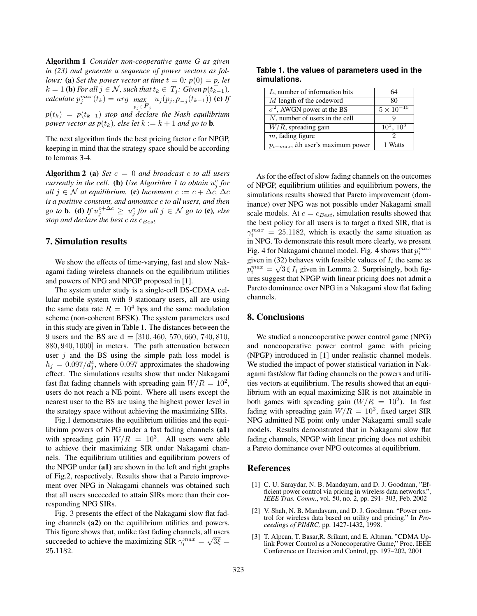**Algorithm 1** *Consider non-cooperative game G as given in (23) and generate a sequence of power vectors as follows:* (a) *Set the power vector at time*  $t = 0$ *:*  $p(0) = p$ *, let*  $k = 1$  **(b)** For all  $j \in \mathcal{N}$ , such that  $t_k \in T_j$ : Given  $p(t_{k-1})$ , *calculate*  $p_j^{max}(t_k) = arg \max_{p_j \in P_j} u_j(p_j, p_{-j}(t_{k-1}))$  **(c)** *If*  $p(t_k) = p(t_{k-1})$  *stop and declare the Nash equilibrium power vector as*  $p(t_k)$ *, else let*  $k := k + 1$  *and go to* **b**.

The next algorithm finds the best pricing factor  $c$  for NPGP, keeping in mind that the strategy space should be according to lemmas 3-4.

**Algorithm 2 (a)** *Set* c = 0 *and broadcast* c *to all users currently in the cell.* (b) Use Algorithm 1 to obtain  $u_j^c$  for *all*  $j \in \mathcal{N}$  *at equilibrium.* (c) *Increment*  $c := c + \Delta c$ ,  $\Delta c$ *is a positive constant, and announce* c *to all users, and then*  $g$ *o to* **b***.* (**d**) *If*  $u_j^{c+\Delta c} \geq u_j^c$  for all  $j \in \mathcal{N}$   $g$ *o to* (**c**)*, else stop and declare the best c as*  $c_{Best}$ 

## **7. Simulation results**

We show the effects of time-varying, fast and slow Nakagami fading wireless channels on the equilibrium utilities and powers of NPG and NPGP proposed in [1].

The system under study is a single-cell DS-CDMA cellular mobile system with 9 stationary users, all are using the same data rate  $R = 10<sup>4</sup>$  bps and the same modulation scheme (non-coherent BFSK). The system parameters used in this study are given in Table 1. The distances between the 9 users and the BS are  $d = [310, 460, 570, 660, 740, 810,$ 880, 940, 1000] in meters. The path attenuation between user  $j$  and the BS using the simple path loss model is  $h_j = 0.097/d_j^4$ , where 0.097 approximates the shadowing effect. The simulations results show that under Nakagami fast flat fading channels with spreading gain  $W/R = 10^2$ , users do not reach a NE point. Where all users except the nearest user to the BS are using the highest power level in the strategy space without achieving the maximizing SIRs.

Fig.1 demonstrates the equilibrium utilities and the equilibrium powers of NPG under a fast fading channels **(a1)** with spreading gain  $W/R = 10^3$ . All users were able to achieve their maximizing SIR under Nakagami channels. The equilibrium utilities and equilibrium powers of the NPGP under **(a1)** are shown in the left and right graphs of Fig.2, respectively. Results show that a Pareto improvement over NPG in Nakagami channels was obtained such that all users succeeded to attain SIRs more than their corresponding NPG SIRs.

Fig. 3 presents the effect of the Nakagami slow flat fading channels **(a2)** on the equilibrium utilities and powers. This figure shows that, unlike fast fading channels, all users This in the shows that, the flast fading channels, an users<br>succeeded to achieve the maximizing SIR  $\gamma_i^{max} = \sqrt{3\xi}$ 25.1182.

**Table 1. the values of parameters used in the simulations.**

| 64                 |
|--------------------|
| 80                 |
| $5 \times 10^{-7}$ |
|                    |
| $10^2$ , $10^3$    |
|                    |
| 1 Watts            |
|                    |

As for the effect of slow fading channels on the outcomes of NPGP, equilibrium utilities and equilibrium powers, the simulations results showed that Pareto improvement (dominance) over NPG was not possible under Nakagami small scale models. At  $c = c_{Best}$ , simulation results showed that the best policy for all users is to target a fixed SIR, that is  $\gamma_i^{max} = 25.1182$ , which is exactly the same situation as in NPG. To demonstrate this result more clearly, we present Fig. 4 for Nakagami channel model. Fig. 4 shows that  $p_i^{max}$ given in (32) behaves with feasible values of  $I_i$  the same as given in (32) behaves whill reasible values of  $T_i$  the same as  $p_i^{max} = \sqrt{3\xi} I_i$  given in Lemma 2. Surprisingly, both figures suggest that NPGP with linear pricing does not admit a Pareto dominance over NPG in a Nakagami slow flat fading channels.

# **8. Conclusions**

We studied a noncooperative power control game (NPG) and noncooperative power control game with pricing (NPGP) introduced in [1] under realistic channel models. We studied the impact of power statistical variation in Nakagami fast/slow flat fading channels on the powers and utilities vectors at equilibrium. The results showed that an equilibrium with an equal maximizing SIR is not attainable in both games with spreading gain  $(W/R = 10^2)$ . In fast fading with spreading gain  $W/R = 10^3$ , fixed target SIR NPG admitted NE point only under Nakagami small scale models. Results demonstrated that in Nakagami slow flat fading channels, NPGP with linear pricing does not exhibit a Pareto dominance over NPG outcomes at equilibrium.

## **References**

- [1] C. U. Saraydar, N. B. Mandayam, and D. J. Goodman, "Efficient power control via pricing in wireless data networks.", *IEEE Tras. Comm.*, vol. 50, no. 2, pp. 291- 303, Feb. 2002
- [2] V. Shah, N. B. Mandayam, and D. J. Goodman. "Power control for wireless data based on utility and pricing." In *Proceedings of PIMRC,* pp. 1427-1432, 1998.
- [3] T. Alpcan, T. Basar,R. Srikant, and E. Altman, "CDMA Uplink Power Control as a Noncooperative Game," Proc. IEEE Conference on Decision and Control, pp. 197–202, 2001